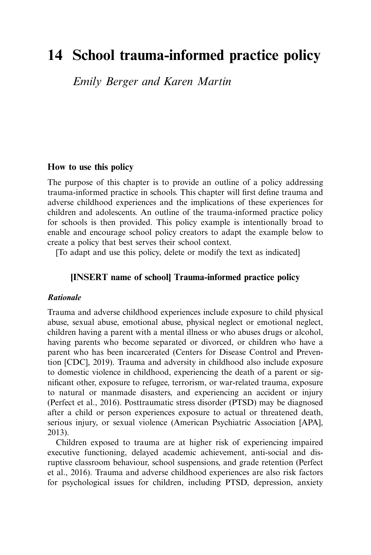# 14 School trauma-informed practice policy

Emily Berger and Karen Martin

#### How to use this policy

The purpose of this chapter is to provide an outline of a policy addressing trauma-informed practice in schools. This chapter will first define trauma and adverse childhood experiences and the implications of these experiences for children and adolescents. An outline of the trauma-informed practice policy for schools is then provided. This policy example is intentionally broad to enable and encourage school policy creators to adapt the example below to create a policy that best serves their school context.

[To adapt and use this policy, delete or modify the text as indicated]

## [INSERT name of school] Trauma-informed practice policy

#### Rationale

Trauma and adverse childhood experiences include exposure to child physical abuse, sexual abuse, emotional abuse, physical neglect or emotional neglect, children having a parent with a mental illness or who abuses drugs or alcohol, having parents who become separated or divorced, or children who have a parent who has been incarcerated (Centers for Disease Control and Prevention [CDC], 2019). Trauma and adversity in childhood also include exposure to domestic violence in childhood, experiencing the death of a parent or significant other, exposure to refugee, terrorism, or war-related trauma, exposure to natural or manmade disasters, and experiencing an accident or injury (Perfect et al., 2016). Posttraumatic stress disorder (PTSD) may be diagnosed after a child or person experiences exposure to actual or threatened death, serious injury, or sexual violence (American Psychiatric Association [APA], 2013).

Children exposed to trauma are at higher risk of experiencing impaired executive functioning, delayed academic achievement, anti-social and disruptive classroom behaviour, school suspensions, and grade retention (Perfect et al., 2016). Trauma and adverse childhood experiences are also risk factors for psychological issues for children, including PTSD, depression, anxiety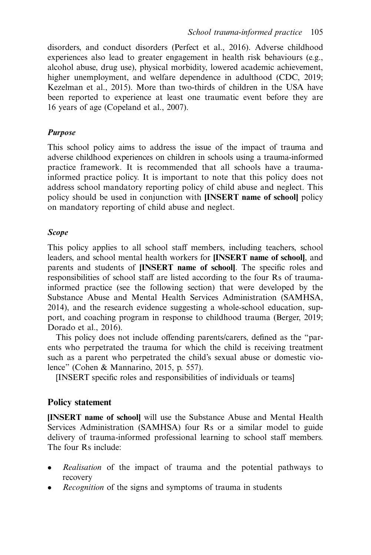disorders, and conduct disorders (Perfect et al., 2016). Adverse childhood experiences also lead to greater engagement in health risk behaviours (e.g., alcohol abuse, drug use), physical morbidity, lowered academic achievement, higher unemployment, and welfare dependence in adulthood (CDC, 2019; Kezelman et al., 2015). More than two-thirds of children in the USA have been reported to experience at least one traumatic event before they are 16 years of age (Copeland et al., 2007).

#### Purpose

This school policy aims to address the issue of the impact of trauma and adverse childhood experiences on children in schools using a trauma-informed practice framework. It is recommended that all schools have a traumainformed practice policy. It is important to note that this policy does not address school mandatory reporting policy of child abuse and neglect. This policy should be used in conjunction with [INSERT name of school] policy on mandatory reporting of child abuse and neglect.

#### Scope

This policy applies to all school staff members, including teachers, school leaders, and school mental health workers for [INSERT name of school], and parents and students of [INSERT name of school]. The specific roles and responsibilities of school staff are listed according to the four Rs of traumainformed practice (see the following section) that were developed by the Substance Abuse and Mental Health Services Administration (SAMHSA, 2014), and the research evidence suggesting a whole-school education, support, and coaching program in response to childhood trauma (Berger, 2019; Dorado et al., 2016).

This policy does not include offending parents/carers, defined as the "parents who perpetrated the trauma for which the child is receiving treatment such as a parent who perpetrated the child's sexual abuse or domestic violence" (Cohen & Mannarino, 2015, p. 557).

[INSERT specific roles and responsibilities of individuals or teams]

#### Policy statement

[INSERT name of school] will use the Substance Abuse and Mental Health Services Administration (SAMHSA) four Rs or a similar model to guide delivery of trauma-informed professional learning to school staff members. The four Rs include:

- Realisation of the impact of trauma and the potential pathways to recovery
- Recognition of the signs and symptoms of trauma in students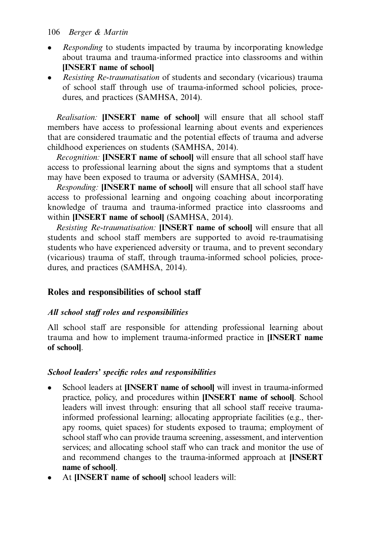#### 106 Berger & Martin

- Responding to students impacted by trauma by incorporating knowledge about trauma and trauma-informed practice into classrooms and within [INSERT name of school]
- Resisting Re-traumatisation of students and secondary (vicarious) trauma of school staff through use of trauma-informed school policies, procedures, and practices (SAMHSA, 2014).

Realisation: **[INSERT name of school]** will ensure that all school staff members have access to professional learning about events and experiences that are considered traumatic and the potential effects of trauma and adverse childhood experiences on students (SAMHSA, 2014).

Recognition: **[INSERT name of school]** will ensure that all school staff have access to professional learning about the signs and symptoms that a student may have been exposed to trauma or adversity (SAMHSA, 2014).

Responding: [INSERT name of school] will ensure that all school staff have access to professional learning and ongoing coaching about incorporating knowledge of trauma and trauma-informed practice into classrooms and within **[INSERT name of school]** (SAMHSA, 2014).

Resisting Re-traumatisation: **[INSERT name of school]** will ensure that all students and school staff members are supported to avoid re-traumatising students who have experienced adversity or trauma, and to prevent secondary (vicarious) trauma of staff, through trauma-informed school policies, procedures, and practices (SAMHSA, 2014).

## Roles and responsibilities of school staff

#### All school staff roles and responsibilities

All school staff are responsible for attending professional learning about trauma and how to implement trauma-informed practice in [INSERT name of school].

#### School leaders' specific roles and responsibilities

- School leaders at [INSERT name of school] will invest in trauma-informed practice, policy, and procedures within [INSERT name of school]. School leaders will invest through: ensuring that all school staff receive traumainformed professional learning; allocating appropriate facilities (e.g., therapy rooms, quiet spaces) for students exposed to trauma; employment of school staff who can provide trauma screening, assessment, and intervention services; and allocating school staff who can track and monitor the use of and recommend changes to the trauma-informed approach at [INSERT name of school].
- At [INSERT name of school] school leaders will: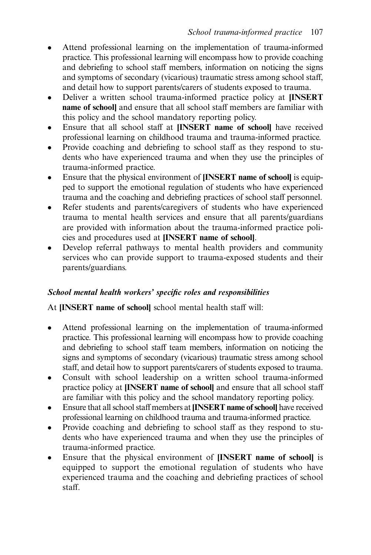- Attend professional learning on the implementation of trauma-informed practice. This professional learning will encompass how to provide coaching and debriefing to school staff members, information on noticing the signs and symptoms of secondary (vicarious) traumatic stress among school staff, and detail how to support parents/carers of students exposed to trauma.
- Deliver a written school trauma-informed practice policy at [INSERT name of school] and ensure that all school staff members are familiar with this policy and the school mandatory reporting policy.
- Ensure that all school staff at [INSERT name of school] have received professional learning on childhood trauma and trauma-informed practice.
- Provide coaching and debriefing to school staff as they respond to students who have experienced trauma and when they use the principles of trauma-informed practice.
- Ensure that the physical environment of [INSERT name of school] is equipped to support the emotional regulation of students who have experienced trauma and the coaching and debriefing practices of school staff personnel.
- Refer students and parents/caregivers of students who have experienced trauma to mental health services and ensure that all parents/guardians are provided with information about the trauma-informed practice policies and procedures used at [INSERT name of school].
- Develop referral pathways to mental health providers and community services who can provide support to trauma-exposed students and their parents/guardians.

## School mental health workers' specific roles and responsibilities

At [INSERT name of school] school mental health staff will:

- Attend professional learning on the implementation of trauma-informed practice. This professional learning will encompass how to provide coaching and debriefing to school staff team members, information on noticing the signs and symptoms of secondary (vicarious) traumatic stress among school staff, and detail how to support parents/carers of students exposed to trauma.
- Consult with school leadership on a written school trauma-informed practice policy at [INSERT name of school] and ensure that all school staff are familiar with this policy and the school mandatory reporting policy.
- Ensure that all school staff members at [INSERT name of school] have received professional learning on childhood trauma and trauma-informed practice.
- Provide coaching and debriefing to school staff as they respond to students who have experienced trauma and when they use the principles of trauma-informed practice.
- Ensure that the physical environment of [INSERT name of school] is equipped to support the emotional regulation of students who have experienced trauma and the coaching and debriefing practices of school staff.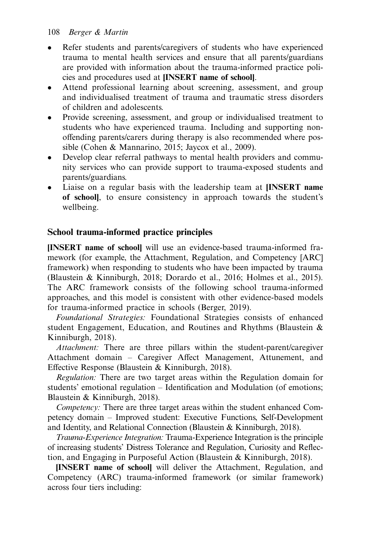#### 108 Berger & Martin

- Refer students and parents/caregivers of students who have experienced trauma to mental health services and ensure that all parents/guardians are provided with information about the trauma-informed practice policies and procedures used at [INSERT name of school].
- Attend professional learning about screening, assessment, and group and individualised treatment of trauma and traumatic stress disorders of children and adolescents.
- Provide screening, assessment, and group or individualised treatment to students who have experienced trauma. Including and supporting nonoffending parents/carers during therapy is also recommended where possible (Cohen & Mannarino, 2015; Jaycox et al., 2009).
- Develop clear referral pathways to mental health providers and community services who can provide support to trauma-exposed students and parents/guardians.
- Liaise on a regular basis with the leadership team at [INSERT name of school], to ensure consistency in approach towards the student's wellbeing.

## School trauma-informed practice principles

[INSERT name of school] will use an evidence-based trauma-informed framework (for example, the Attachment, Regulation, and Competency [ARC] framework) when responding to students who have been impacted by trauma (Blaustein & Kinniburgh, 2018; Dorardo et al., 2016; Holmes et al., 2015). The ARC framework consists of the following school trauma-informed approaches, and this model is consistent with other evidence-based models for trauma-informed practice in schools (Berger, 2019).

Foundational Strategies: Foundational Strategies consists of enhanced student Engagement, Education, and Routines and Rhythms (Blaustein & Kinniburgh, 2018).

Attachment: There are three pillars within the student-parent/caregiver Attachment domain – Caregiver Affect Management, Attunement, and Effective Response (Blaustein & Kinniburgh, 2018).

Regulation: There are two target areas within the Regulation domain for students' emotional regulation – Identification and Modulation (of emotions; Blaustein & Kinniburgh, 2018).

Competency: There are three target areas within the student enhanced Competency domain – Improved student: Executive Functions, Self-Development and Identity, and Relational Connection (Blaustein & Kinniburgh, 2018).

Trauma-Experience Integration: Trauma-Experience Integration is the principle of increasing students' Distress Tolerance and Regulation, Curiosity and Reflection, and Engaging in Purposeful Action (Blaustein & Kinniburgh, 2018).

[INSERT name of school] will deliver the Attachment, Regulation, and Competency (ARC) trauma-informed framework (or similar framework) across four tiers including: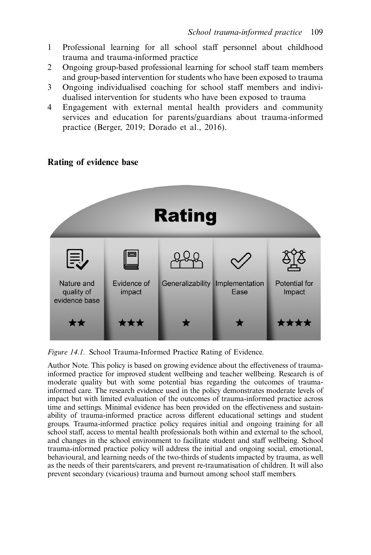- 1 Professional learning for all school staff personnel about childhood trauma and trauma-informed practice
- 2 Ongoing group-based professional learning for school staff team members and group-based intervention for students who have been exposed to trauma
- 3 Ongoing individualised coaching for school staff members and individualised intervention for students who have been exposed to trauma
- 4 Engagement with external mental health providers and community services and education for parents/guardians about trauma-informed practice (Berger, 2019; Dorado et al., 2016).

## **Rating** Evidence of Generalizability Implementation Nature and **Potential for** quality of impact Ease Impact evidence base \*\*\* \*\*\*

#### Rating of evidence base

Figure 14.1. School Trauma-Informed Practice Rating of Evidence.

Author Note. This policy is based on growing evidence about the effectiveness of traumainformed practice for improved student wellbeing and teacher wellbeing. Research is of moderate quality but with some potential bias regarding the outcomes of traumainformed care. The research evidence used in the policy demonstrates moderate levels of impact but with limited evaluation of the outcomes of trauma-informed practice across time and settings. Minimal evidence has been provided on the effectiveness and sustainability of trauma-informed practice across different educational settings and student groups. Trauma-informed practice policy requires initial and ongoing training for all school staff, access to mental health professionals both within and external to the school, and changes in the school environment to facilitate student and staff wellbeing. School trauma-informed practice policy will address the initial and ongoing social, emotional, behavioural, and learning needs of the two-thirds of students impacted by trauma, as well as the needs of their parents/carers, and prevent re-traumatisation of children. It will also prevent secondary (vicarious) trauma and burnout among school staff members.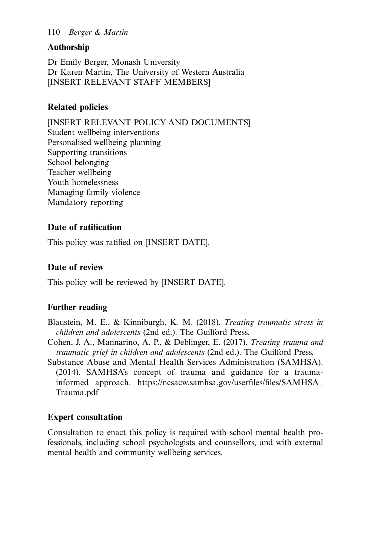#### 110 Berger & Martin

## Authorship

Dr Emily Berger, Monash University Dr Karen Martin, The University of Western Australia [INSERT RELEVANT STAFF MEMBERS]

## Related policies

[INSERT RELEVANT POLICY AND DOCUMENTS] Student wellbeing interventions Personalised wellbeing planning Supporting transitions School belonging Teacher wellbeing Youth homelessness Managing family violence Mandatory reporting

## Date of ratification

This policy was ratified on [INSERT DATE].

## Date of review

This policy will be reviewed by [INSERT DATE].

## Further reading

- Blaustein, M. E., & Kinniburgh, K. M. (2018). Treating traumatic stress in children and adolescents (2nd ed.). The Guilford Press.
- Cohen, J. A., Mannarino, A. P., & Deblinger, E. (2017). Treating trauma and traumatic grief in children and adolescents (2nd ed.). The Guilford Press.
- Substance Abuse and Mental Health Services Administration (SAMHSA). (2014). SAMHSA's concept of trauma and guidance for a traumainformed approach. [https://ncsacw.samhsa.gov/user](https://ncsacw.samhsa.gov/)files/files/SAMHSA\_ [Trauma.pdf](https://ncsacw.samhsa.gov/)

## Expert consultation

Consultation to enact this policy is required with school mental health professionals, including school psychologists and counsellors, and with external mental health and community wellbeing services.